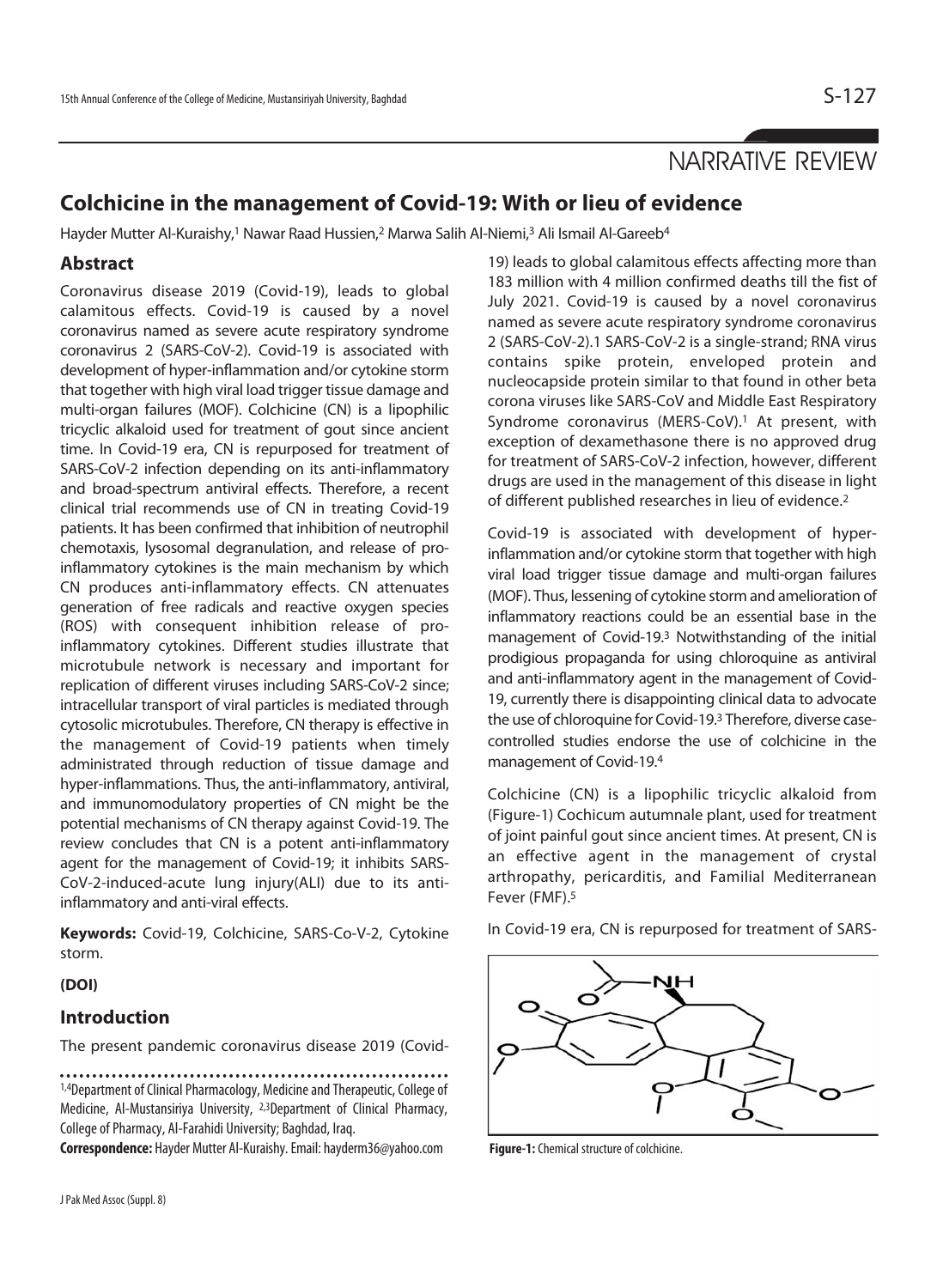# NARRATIVE REVIEW

## **Colchicine in the management of Covid-19: With or lieu of evidence**

Hayder Mutter Al-Kuraishy,<sup>1</sup> Nawar Raad Hussien,<sup>2</sup> Marwa Salih Al-Niemi,<sup>3</sup> Ali Ismail Al-Gareeb<sup>4</sup>

### **Abstract**

Coronavirus disease 2019 (Covid-19), leads to global calamitous effects. Covid-19 is caused by a novel coronavirus named as severe acute respiratory syndrome coronavirus 2 (SARS-CoV-2). Covid-19 is associated with development of hyper-inflammation and/or cytokine storm that together with high viral load trigger tissue damage and multi-organ failures (MOF). Colchicine (CN) is a lipophilic tricyclic alkaloid used for treatment of gout since ancient time. In Covid-19 era, CN is repurposed for treatment of SARS-CoV-2 infection depending on its anti-inflammatory and broad-spectrum antiviral effects. Therefore, a recent clinical trial recommends use of CN in treating Covid-19 patients. It has been confirmed that inhibition of neutrophil chemotaxis, lysosomal degranulation, and release of proinflammatory cytokines is the main mechanism by which CN produces anti-inflammatory effects. CN attenuates generation of free radicals and reactive oxygen species (ROS) with consequent inhibition release of proinflammatory cytokines. Different studies illustrate that microtubule network is necessary and important for replication of different viruses including SARS-CoV-2 since; intracellular transport of viral particles is mediated through cytosolic microtubules. Therefore, CN therapy is effective in the management of Covid-19 patients when timely administrated through reduction of tissue damage and hyper-inflammations. Thus, the anti-inflammatory, antiviral, and immunomodulatory properties of CN might be the potential mechanisms of CN therapy against Covid-19. The review concludes that CN is a potent anti-inflammatory agent for the management of Covid-19; it inhibits SARS-CoV-2-induced-acute lung injury(ALI) due to its antiinflammatory and anti-viral effects.

**Keywords:** Covid-19, Colchicine, SARS-Co-V-2, Cytokine storm.

**(DOI)** 

### **Introduction**

The present pandemic coronavirus disease 2019 (Covid-

1,4Department of Clinical Pharmacology, Medicine and Therapeutic, College of Medicine, Al-Mustansiriya University, 2,3Department of Clinical Pharmacy, College of Pharmacy, Al-Farahidi University; Baghdad, Iraq.

**Correspondence:** Hayder Mutter Al-Kuraishy. Email: hayderm36@yahoo.com

19) leads to global calamitous effects affecting more than 183 million with 4 million confirmed deaths till the fist of July 2021. Covid-19 is caused by a novel coronavirus named as severe acute respiratory syndrome coronavirus 2 (SARS-CoV-2).1 SARS-CoV-2 is a single-strand; RNA virus contains spike protein, enveloped protein and nucleocapside protein similar to that found in other beta corona viruses like SARS-CoV and Middle East Respiratory Syndrome coronavirus (MERS-CoV).<sup>1</sup> At present, with exception of dexamethasone there is no approved drug for treatment of SARS-CoV-2 infection, however, different drugs are used in the management of this disease in light of different published researches in lieu of evidence.2

Covid-19 is associated with development of hyperinflammation and/or cytokine storm that together with high viral load trigger tissue damage and multi-organ failures (MOF). Thus, lessening of cytokine storm and amelioration of inflammatory reactions could be an essential base in the management of Covid-19.3 Notwithstanding of the initial prodigious propaganda for using chloroquine as antiviral and anti-inflammatory agent in the management of Covid-19, currently there is disappointing clinical data to advocate the use of chloroquine for Covid-19.3 Therefore, diverse casecontrolled studies endorse the use of colchicine in the management of Covid-19.4

Colchicine (CN) is a lipophilic tricyclic alkaloid from (Figure-1) Cochicum autumnale plant, used for treatment of joint painful gout since ancient times. At present, CN is an effective agent in the management of crystal arthropathy, pericarditis, and Familial Mediterranean Fever (FMF).5

In Covid-19 era, CN is repurposed for treatment of SARS-



**Figure-1:** Chemical structure of colchicine.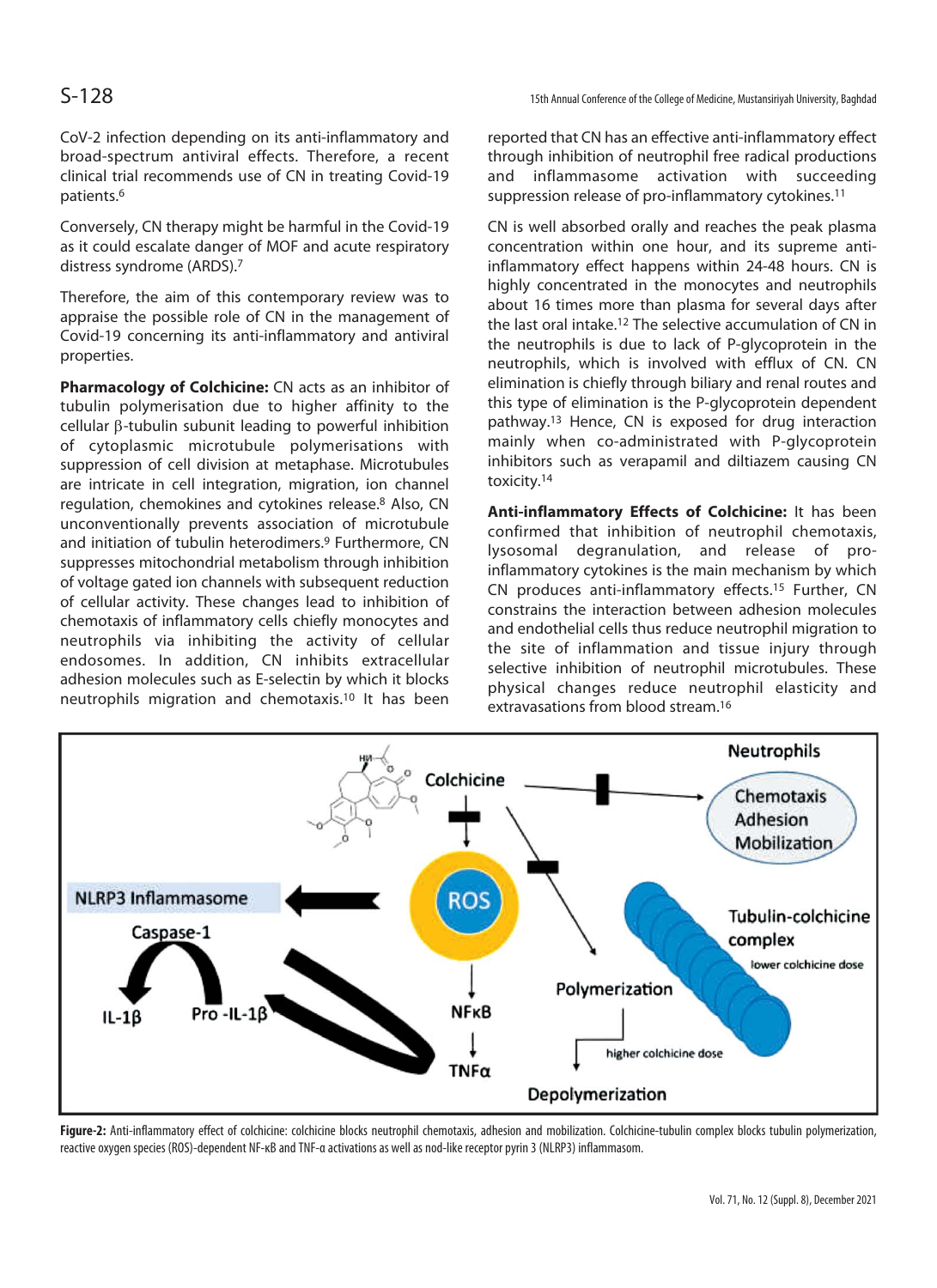CoV-2 infection depending on its anti-inflammatory and broad-spectrum antiviral effects. Therefore, a recent clinical trial recommends use of CN in treating Covid-19 patients.6

Conversely, CN therapy might be harmful in the Covid-19 as it could escalate danger of MOF and acute respiratory distress syndrome (ARDS).7

Therefore, the aim of this contemporary review was to appraise the possible role of CN in the management of Covid-19 concerning its anti-inflammatory and antiviral properties.

**Pharmacology of Colchicine:** CN acts as an inhibitor of tubulin polymerisation due to higher affinity to the  $cellular \beta-tubulin subunit leading to powerful inhibition$ of cytoplasmic microtubule polymerisations with suppression of cell division at metaphase. Microtubules are intricate in cell integration, migration, ion channel regulation, chemokines and cytokines release.8 Also, CN unconventionally prevents association of microtubule and initiation of tubulin heterodimers.<sup>9</sup> Furthermore, CN suppresses mitochondrial metabolism through inhibition of voltage gated ion channels with subsequent reduction of cellular activity. These changes lead to inhibition of chemotaxis of inflammatory cells chiefly monocytes and neutrophils via inhibiting the activity of cellular endosomes. In addition, CN inhibits extracellular adhesion molecules such as E-selectin by which it blocks neutrophils migration and chemotaxis.10 It has been

reported that CN has an effective anti-inflammatory effect through inhibition of neutrophil free radical productions and inflammasome activation with succeeding suppression release of pro-inflammatory cytokines.<sup>11</sup>

CN is well absorbed orally and reaches the peak plasma concentration within one hour, and its supreme antiinflammatory effect happens within 24-48 hours. CN is highly concentrated in the monocytes and neutrophils about 16 times more than plasma for several days after the last oral intake.12 The selective accumulation of CN in the neutrophils is due to lack of P-glycoprotein in the neutrophils, which is involved with efflux of CN. CN elimination is chiefly through biliary and renal routes and this type of elimination is the P-glycoprotein dependent pathway.13 Hence, CN is exposed for drug interaction mainly when co-administrated with P-glycoprotein inhibitors such as verapamil and diltiazem causing CN toxicity.14

**Anti-inflammatory Effects of Colchicine:** It has been confirmed that inhibition of neutrophil chemotaxis, lysosomal degranulation, and release of proinflammatory cytokines is the main mechanism by which CN produces anti-inflammatory effects.15 Further, CN constrains the interaction between adhesion molecules and endothelial cells thus reduce neutrophil migration to the site of inflammation and tissue injury through selective inhibition of neutrophil microtubules. These physical changes reduce neutrophil elasticity and extravasations from blood stream.16



Figure-2: Anti-inflammatory effect of colchicine: colchicine blocks neutrophil chemotaxis, adhesion and mobilization. Colchicine-tubulin complex blocks tubulin polymerization, reactive oxygen species (ROS)-dependent NF-κB and TNF-α activations as well as nod-like receptor pyrin 3 (NLRP3) inflammasom.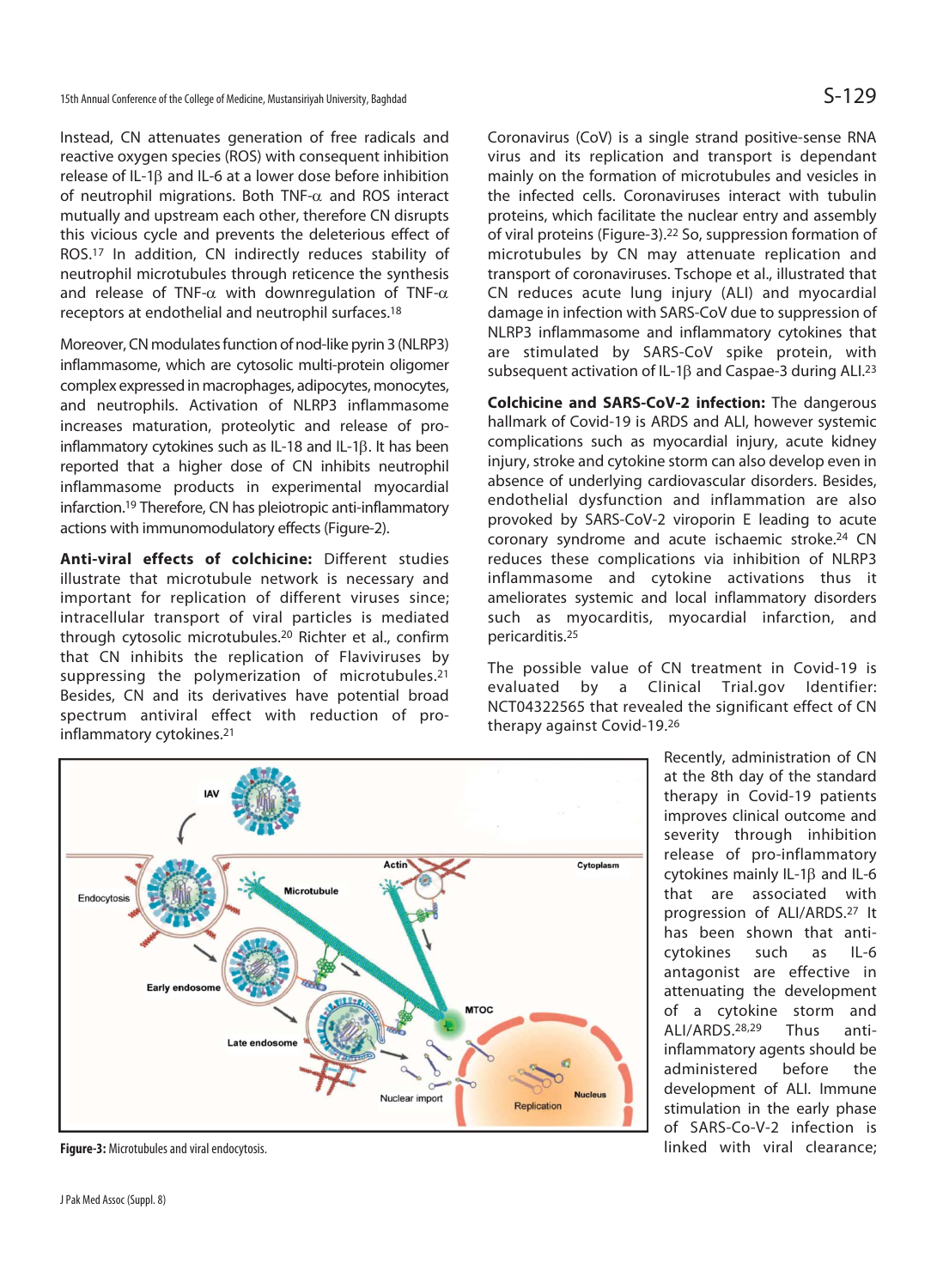Instead, CN attenuates generation of free radicals and reactive oxygen species (ROS) with consequent inhibition release of IL-1 $\beta$  and IL-6 at a lower dose before inhibition of neutrophil migrations. Both TNF- $\alpha$  and ROS interact mutually and upstream each other, therefore CN disrupts this vicious cycle and prevents the deleterious effect of ROS.17 In addition, CN indirectly reduces stability of neutrophil microtubules through reticence the synthesis and release of TNF- $\alpha$  with downregulation of TNF- $\alpha$ receptors at endothelial and neutrophil surfaces.18

Moreover, CN modulates function of nod-like pyrin 3 (NLRP3) inflammasome, which are cytosolic multi-protein oligomer complex expressed in macrophages, adipocytes, monocytes, and neutrophils. Activation of NLRP3 inflammasome increases maturation, proteolytic and release of proinflammatory cytokines such as  $IL-18$  and  $IL-1\beta$ . It has been reported that a higher dose of CN inhibits neutrophil inflammasome products in experimental myocardial infarction.19 Therefore, CN has pleiotropic anti-inflammatory actions with immunomodulatory effects (Figure-2).

**Anti-viral effects of colchicine:** Different studies illustrate that microtubule network is necessary and important for replication of different viruses since; intracellular transport of viral particles is mediated through cytosolic microtubules.20 Richter et al., confirm that CN inhibits the replication of Flaviviruses by suppressing the polymerization of microtubules.<sup>21</sup> Besides, CN and its derivatives have potential broad spectrum antiviral effect with reduction of proinflammatory cytokines.21

Coronavirus (CoV) is a single strand positive-sense RNA virus and its replication and transport is dependant mainly on the formation of microtubules and vesicles in the infected cells. Coronaviruses interact with tubulin proteins, which facilitate the nuclear entry and assembly of viral proteins (Figure-3).22 So, suppression formation of microtubules by CN may attenuate replication and transport of coronaviruses. Tschope et al., illustrated that CN reduces acute lung injury (ALI) and myocardial damage in infection with SARS-CoV due to suppression of NLRP3 inflammasome and inflammatory cytokines that are stimulated by SARS-CoV spike protein, with subsequent activation of IL-1 $\beta$  and Caspae-3 during ALI.<sup>23</sup>

**Colchicine and SARS-CoV-2 infection:** The dangerous hallmark of Covid-19 is ARDS and ALI, however systemic complications such as myocardial injury, acute kidney injury, stroke and cytokine storm can also develop even in absence of underlying cardiovascular disorders. Besides, endothelial dysfunction and inflammation are also provoked by SARS-CoV-2 viroporin E leading to acute coronary syndrome and acute ischaemic stroke.24 CN reduces these complications via inhibition of NLRP3 inflammasome and cytokine activations thus it ameliorates systemic and local inflammatory disorders such as myocarditis, myocardial infarction, and pericarditis.25

The possible value of CN treatment in Covid-19 is evaluated by a Clinical Trial.gov Identifier: NCT04322565 that revealed the significant effect of CN therapy against Covid-19.26



**Figure-3:** Microtubules and viral endocytosis.

Recently, administration of CN at the 8th day of the standard therapy in Covid-19 patients improves clinical outcome and severity through inhibition release of pro-inflammatory cytokines mainly  $IL-1\beta$  and  $IL-6$ that are associated with progression of ALI/ARDS.27 It has been shown that anticytokines such as IL-6 antagonist are effective in attenuating the development of a cytokine storm and ALI/ARDS.28,29 Thus antiinflammatory agents should be administered before the development of ALI. Immune stimulation in the early phase of SARS-Co-V-2 infection is linked with viral clearance;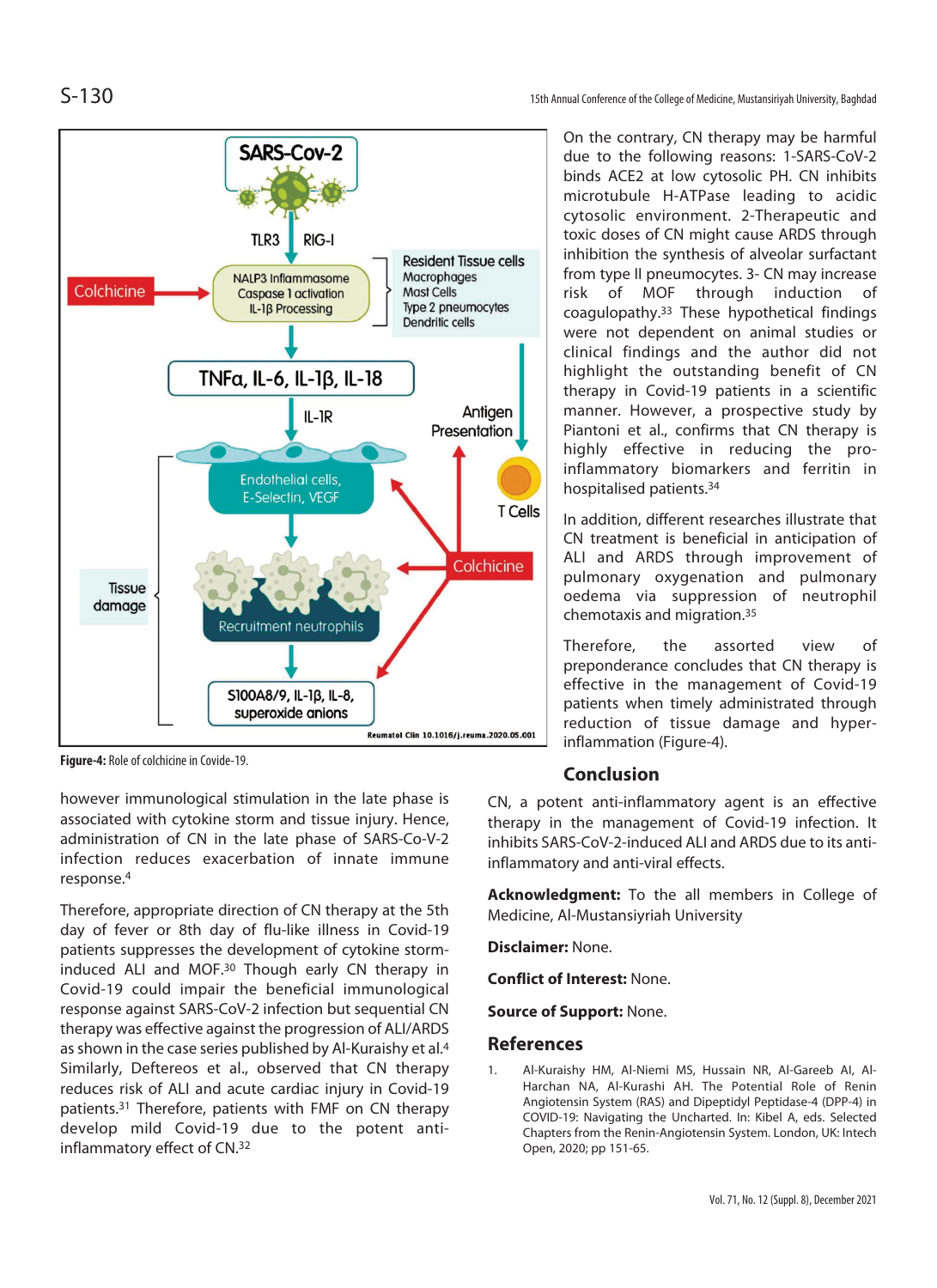S-130 15th Annual Conference of the College of Medicine, Mustansiriyah University, Baghdad



**Figure-4:** Role of colchicine in Covide-19.

however immunological stimulation in the late phase is associated with cytokine storm and tissue injury. Hence, administration of CN in the late phase of SARS-Co-V-2 infection reduces exacerbation of innate immune response.4

Therefore, appropriate direction of CN therapy at the 5th day of fever or 8th day of flu-like illness in Covid-19 patients suppresses the development of cytokine storminduced ALI and MOF.30 Though early CN therapy in Covid-19 could impair the beneficial immunological response against SARS-CoV-2 infection but sequential CN therapy was effective against the progression of ALI/ARDS as shown in the case series published by Al-Kuraishy et al.4 Similarly, Deftereos et al., observed that CN therapy reduces risk of ALI and acute cardiac injury in Covid-19 patients.31 Therefore, patients with FMF on CN therapy develop mild Covid-19 due to the potent antiinflammatory effect of CN.32

On the contrary, CN therapy may be harmful due to the following reasons: 1-SARS-CoV-2 binds ACE2 at low cytosolic PH. CN inhibits microtubule H-ATPase leading to acidic cytosolic environment. 2-Therapeutic and toxic doses of CN might cause ARDS through inhibition the synthesis of alveolar surfactant from type II pneumocytes. 3- CN may increase risk of MOF through induction of coagulopathy.33 These hypothetical findings were not dependent on animal studies or clinical findings and the author did not highlight the outstanding benefit of CN therapy in Covid-19 patients in a scientific manner. However, a prospective study by Piantoni et al., confirms that CN therapy is highly effective in reducing the proinflammatory biomarkers and ferritin in hospitalised patients.34

In addition, different researches illustrate that CN treatment is beneficial in anticipation of ALI and ARDS through improvement of pulmonary oxygenation and pulmonary oedema via suppression of neutrophil chemotaxis and migration.35

Therefore, the assorted view of preponderance concludes that CN therapy is effective in the management of Covid-19 patients when timely administrated through reduction of tissue damage and hyperinflammation (Figure-4).

### **Conclusion**

CN, a potent anti-inflammatory agent is an effective therapy in the management of Covid-19 infection. It inhibits SARS-CoV-2-induced ALI and ARDS due to its antiinflammatory and anti-viral effects.

**Acknowledgment:** To the all members in College of Medicine, Al-Mustansiyriah University

**Disclaimer:** None.

**Conflict of Interest:** None.

**Source of Support:** None.

### **References**

1. Al-Kuraishy HM, Al-Niemi MS, Hussain NR, Al-Gareeb AI, Al-Harchan NA, Al-Kurashi AH. The Potential Role of Renin Angiotensin System (RAS) and Dipeptidyl Peptidase-4 (DPP-4) in COVID-19: Navigating the Uncharted. In: Kibel A, eds. Selected Chapters from the Renin-Angiotensin System. London, UK: Intech Open, 2020; pp 151-65.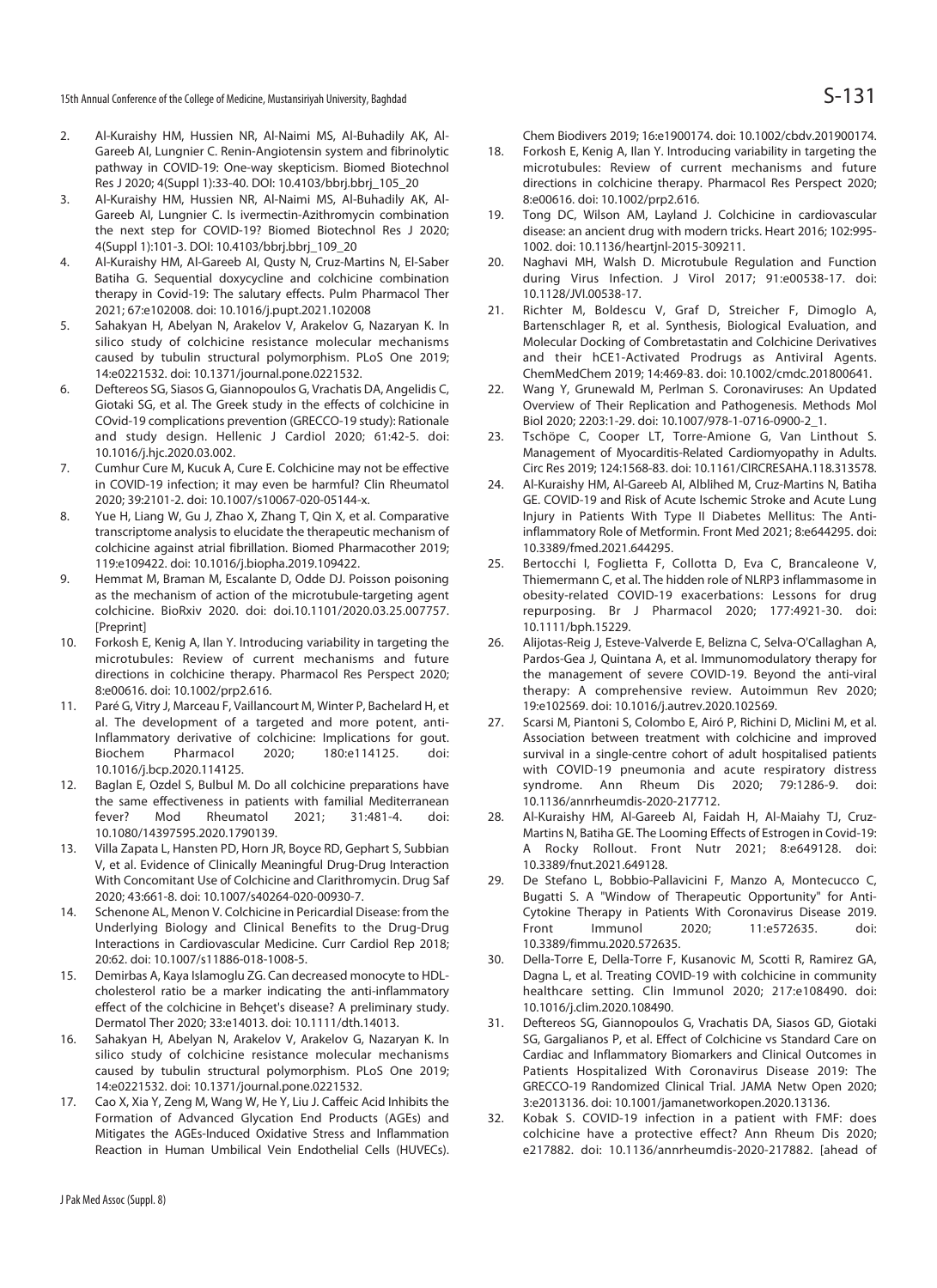15th Annual Conference of the College of Medicine, Mustansiriyah University, Baghdad  $S-131$ 

- 2. Al-Kuraishy HM, Hussien NR, Al-Naimi MS, Al-Buhadily AK, Al-Gareeb AI, Lungnier C. Renin-Angiotensin system and fibrinolytic pathway in COVID-19: One-way skepticism. Biomed Biotechnol Res J 2020; 4(Suppl 1):33-40. DOI: 10.4103/bbrj.bbrj\_105\_20
- 3. Al-Kuraishy HM, Hussien NR, Al-Naimi MS, Al-Buhadily AK, Al-Gareeb AI, Lungnier C. Is ivermectin-Azithromycin combination the next step for COVID-19? Biomed Biotechnol Res J 2020; 4(Suppl 1):101-3. DOI: 10.4103/bbrj.bbrj\_109\_20
- 4. Al-Kuraishy HM, Al-Gareeb AI, Qusty N, Cruz-Martins N, El-Saber Batiha G. Sequential doxycycline and colchicine combination therapy in Covid-19: The salutary effects. Pulm Pharmacol Ther 2021; 67:e102008. doi: 10.1016/j.pupt.2021.102008
- 5. Sahakyan H, Abelyan N, Arakelov V, Arakelov G, Nazaryan K. In silico study of colchicine resistance molecular mechanisms caused by tubulin structural polymorphism. PLoS One 2019; 14:e0221532. doi: 10.1371/journal.pone.0221532.
- 6. Deftereos SG, Siasos G, Giannopoulos G, Vrachatis DA, Angelidis C, Giotaki SG, et al. The Greek study in the effects of colchicine in COvid-19 complications prevention (GRECCO-19 study): Rationale and study design. Hellenic J Cardiol 2020; 61:42-5. doi: 10.1016/j.hjc.2020.03.002.
- 7. Cumhur Cure M, Kucuk A, Cure E. Colchicine may not be effective in COVID-19 infection; it may even be harmful? Clin Rheumatol 2020; 39:2101-2. doi: 10.1007/s10067-020-05144-x.
- 8. Yue H, Liang W, Gu J, Zhao X, Zhang T, Qin X, et al. Comparative transcriptome analysis to elucidate the therapeutic mechanism of colchicine against atrial fibrillation. Biomed Pharmacother 2019; 119:e109422. doi: 10.1016/j.biopha.2019.109422.
- 9. Hemmat M, Braman M, Escalante D, Odde DJ. Poisson poisoning as the mechanism of action of the microtubule-targeting agent colchicine. BioRxiv 2020. doi: doi.10.1101/2020.03.25.007757. [Preprint]
- 10. Forkosh E, Kenig A, Ilan Y. Introducing variability in targeting the microtubules: Review of current mechanisms and future directions in colchicine therapy. Pharmacol Res Perspect 2020; 8:e00616. doi: 10.1002/prp2.616.
- 11. Paré G, Vitry J, Marceau F, Vaillancourt M, Winter P, Bachelard H, et al. The development of a targeted and more potent, anti-Inflammatory derivative of colchicine: Implications for gout. Biochem Pharmacol 2020; 180:e114125. doi: 10.1016/j.bcp.2020.114125.
- 12. Baglan E, Ozdel S, Bulbul M. Do all colchicine preparations have the same effectiveness in patients with familial Mediterranean fever? Mod Rheumatol 2021; 31:481-4. doi: 10.1080/14397595.2020.1790139.
- 13. Villa Zapata L, Hansten PD, Horn JR, Boyce RD, Gephart S, Subbian V, et al. Evidence of Clinically Meaningful Drug-Drug Interaction With Concomitant Use of Colchicine and Clarithromycin. Drug Saf 2020; 43:661-8. doi: 10.1007/s40264-020-00930-7.
- 14. Schenone AL, Menon V. Colchicine in Pericardial Disease: from the Underlying Biology and Clinical Benefits to the Drug-Drug Interactions in Cardiovascular Medicine. Curr Cardiol Rep 2018; 20:62. doi: 10.1007/s11886-018-1008-5.
- 15. Demirbas A, Kaya Islamoglu ZG. Can decreased monocyte to HDLcholesterol ratio be a marker indicating the anti-inflammatory effect of the colchicine in Behçet's disease? A preliminary study. Dermatol Ther 2020; 33:e14013. doi: 10.1111/dth.14013.
- 16. Sahakyan H, Abelyan N, Arakelov V, Arakelov G, Nazaryan K. In silico study of colchicine resistance molecular mechanisms caused by tubulin structural polymorphism. PLoS One 2019; 14:e0221532. doi: 10.1371/journal.pone.0221532.
- 17. Cao X, Xia Y, Zeng M, Wang W, He Y, Liu J. Caffeic Acid Inhibits the Formation of Advanced Glycation End Products (AGEs) and Mitigates the AGEs-Induced Oxidative Stress and Inflammation Reaction in Human Umbilical Vein Endothelial Cells (HUVECs).

Chem Biodivers 2019; 16:e1900174. doi: 10.1002/cbdv.201900174.

- 18. Forkosh E, Kenig A, Ilan Y. Introducing variability in targeting the microtubules: Review of current mechanisms and future directions in colchicine therapy. Pharmacol Res Perspect 2020; 8:e00616. doi: 10.1002/prp2.616.
- 19. Tong DC, Wilson AM, Layland J. Colchicine in cardiovascular disease: an ancient drug with modern tricks. Heart 2016; 102:995- 1002. doi: 10.1136/heartjnl-2015-309211.
- 20. Naghavi MH, Walsh D. Microtubule Regulation and Function during Virus Infection. J Virol 2017; 91:e00538-17. doi: 10.1128/JVI.00538-17.
- 21. Richter M, Boldescu V, Graf D, Streicher F, Dimoglo A, Bartenschlager R, et al. Synthesis, Biological Evaluation, and Molecular Docking of Combretastatin and Colchicine Derivatives and their hCE1-Activated Prodrugs as Antiviral Agents. ChemMedChem 2019; 14:469-83. doi: 10.1002/cmdc.201800641.
- 22. Wang Y, Grunewald M, Perlman S. Coronaviruses: An Updated Overview of Their Replication and Pathogenesis. Methods Mol Biol 2020; 2203:1-29. doi: 10.1007/978-1-0716-0900-2\_1.
- 23. Tschöpe C, Cooper LT, Torre-Amione G, Van Linthout S. Management of Myocarditis-Related Cardiomyopathy in Adults. Circ Res 2019; 124:1568-83. doi: 10.1161/CIRCRESAHA.118.313578.
- 24. Al-Kuraishy HM, Al-Gareeb AI, Alblihed M, Cruz-Martins N, Batiha GE. COVID-19 and Risk of Acute Ischemic Stroke and Acute Lung Injury in Patients With Type II Diabetes Mellitus: The Antiinflammatory Role of Metformin. Front Med 2021; 8:e644295. doi: 10.3389/fmed.2021.644295.
- 25. Bertocchi I, Foglietta F, Collotta D, Eva C, Brancaleone V, Thiemermann C, et al. The hidden role of NLRP3 inflammasome in obesity-related COVID-19 exacerbations: Lessons for drug repurposing. Br J Pharmacol 2020; 177:4921-30. doi: 10.1111/bph.15229.
- 26. Alijotas-Reig J, Esteve-Valverde E, Belizna C, Selva-O'Callaghan A, Pardos-Gea J, Quintana A, et al. Immunomodulatory therapy for the management of severe COVID-19. Beyond the anti-viral therapy: A comprehensive review. Autoimmun Rev 2020; 19:e102569. doi: 10.1016/j.autrev.2020.102569.
- 27. Scarsi M, Piantoni S, Colombo E, Airó P, Richini D, Miclini M, et al. Association between treatment with colchicine and improved survival in a single-centre cohort of adult hospitalised patients with COVID-19 pneumonia and acute respiratory distress syndrome. Ann Rheum Dis 2020; 79:1286-9. doi: 10.1136/annrheumdis-2020-217712.
- 28. Al-Kuraishy HM, Al-Gareeb AI, Faidah H, Al-Maiahy TJ, Cruz-Martins N, Batiha GE. The Looming Effects of Estrogen in Covid-19: A Rocky Rollout. Front Nutr 2021; 8:e649128. doi: 10.3389/fnut.2021.649128.
- 29. De Stefano L, Bobbio-Pallavicini F, Manzo A, Montecucco C, Bugatti S. A "Window of Therapeutic Opportunity" for Anti-Cytokine Therapy in Patients With Coronavirus Disease 2019. Front Immunol 2020; 11:e572635. doi: 10.3389/fimmu.2020.572635.
- 30. Della-Torre E, Della-Torre F, Kusanovic M, Scotti R, Ramirez GA, Dagna L, et al. Treating COVID-19 with colchicine in community healthcare setting. Clin Immunol 2020; 217:e108490. doi: 10.1016/j.clim.2020.108490.
- 31. Deftereos SG, Giannopoulos G, Vrachatis DA, Siasos GD, Giotaki SG, Gargalianos P, et al. Effect of Colchicine vs Standard Care on Cardiac and Inflammatory Biomarkers and Clinical Outcomes in Patients Hospitalized With Coronavirus Disease 2019: The GRECCO-19 Randomized Clinical Trial. JAMA Netw Open 2020; 3:e2013136. doi: 10.1001/jamanetworkopen.2020.13136.
- 32. Kobak S. COVID-19 infection in a patient with FMF: does colchicine have a protective effect? Ann Rheum Dis 2020; e217882. doi: 10.1136/annrheumdis-2020-217882. [ahead of